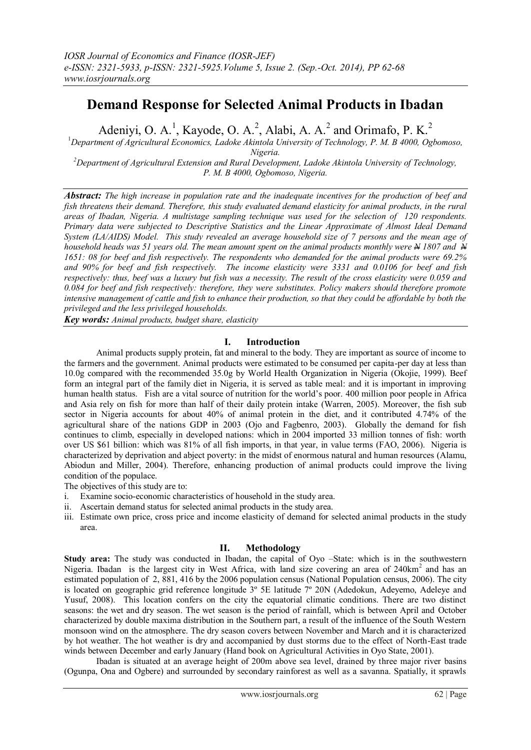# **Demand Response for Selected Animal Products in Ibadan**

Adeniyi, O. A.<sup>1</sup>, Kayode, O. A.<sup>2</sup>, Alabi, A. A.<sup>2</sup> and Orimafo, P. K.<sup>2</sup>

<sup>1</sup>*Department of Agricultural Economics, Ladoke Akintola University of Technology, P. M. B 4000, Ogbomoso,* 

*Nigeria.* 

*<sup>2</sup>Department of Agricultural Extension and Rural Development, Ladoke Akintola University of Technology, P. M. B 4000, Ogbomoso, Nigeria.* 

*Abstract: The high increase in population rate and the inadequate incentives for the production of beef and fish threatens their demand. Therefore, this study evaluated demand elasticity for animal products, in the rural areas of Ibadan, Nigeria. A multistage sampling technique was used for the selection of 120 respondents. Primary data were subjected to Descriptive Statistics and the Linear Approximate of Almost Ideal Demand System (LA/AIDS) Model. This study revealed an average household size of 7 persons and the mean age of household heads was 51 years old. The mean amount spent on the animal products monthly were*  $\frac{M}{A}$  *1807 and*  $\frac{M}{A}$ *1651: 08 for beef and fish respectively. The respondents who demanded for the animal products were 69.2% and 90% for beef and fish respectively. The income elasticity were 3331 and 0.0106 for beef and fish respectively: thus, beef was a luxury but fish was a necessity. The result of the cross elasticity were 0.059 and 0.084 for beef and fish respectively: therefore, they were substitutes. Policy makers should therefore promote intensive management of cattle and fish to enhance their production, so that they could be affordable by both the privileged and the less privileged households.*

*Key words: Animal products, budget share, elasticity*

# **I. Introduction**

Animal products supply protein, fat and mineral to the body. They are important as source of income to the farmers and the government. Animal products were estimated to be consumed per capita-per day at less than 10.0g compared with the recommended 35.0g by World Health Organization in Nigeria (Okojie, 1999). Beef form an integral part of the family diet in Nigeria, it is served as table meal: and it is important in improving human health status. Fish are a vital source of nutrition for the world's poor. 400 million poor people in Africa and Asia rely on fish for more than half of their daily protein intake (Warren, 2005). Moreover, the fish sub sector in Nigeria accounts for about 40% of animal protein in the diet, and it contributed 4.74% of the agricultural share of the nations GDP in 2003 (Ojo and Fagbenro, 2003). Globally the demand for fish continues to climb, especially in developed nations: which in 2004 imported 33 million tonnes of fish: worth over US \$61 billion: which was 81% of all fish imports, in that year, in value terms (FAO, 2006). Nigeria is characterized by deprivation and abject poverty: in the midst of enormous natural and human resources (Alamu, Abiodun and Miller, 2004). Therefore, enhancing production of animal products could improve the living condition of the populace.

The objectives of this study are to:

- i. Examine socio-economic characteristics of household in the study area.
- ii. Ascertain demand status for selected animal products in the study area.
- iii. Estimate own price, cross price and income elasticity of demand for selected animal products in the study area.

# **II. Methodology**

**Study area:** The study was conducted in Ibadan, the capital of Oyo –State: which is in the southwestern Nigeria. Ibadan is the largest city in West Africa, with land size covering an area of 240km<sup>2</sup> and has an estimated population of 2, 881, 416 by the 2006 population census (National Population census, 2006). The city is located on geographic grid reference longitude 3º 5E latitude 7º 20N (Adedokun, Adeyemo, Adeleye and Yusuf, 2008). This location confers on the city the equatorial climatic conditions. There are two distinct seasons: the wet and dry season. The wet season is the period of rainfall, which is between April and October characterized by double maxima distribution in the Southern part, a result of the influence of the South Western monsoon wind on the atmosphere. The dry season covers between November and March and it is characterized by hot weather. The hot weather is dry and accompanied by dust storms due to the effect of North-East trade winds between December and early January (Hand book on Agricultural Activities in Oyo State, 2001).

Ibadan is situated at an average height of 200m above sea level, drained by three major river basins (Ogunpa, Ona and Ogbere) and surrounded by secondary rainforest as well as a savanna. Spatially, it sprawls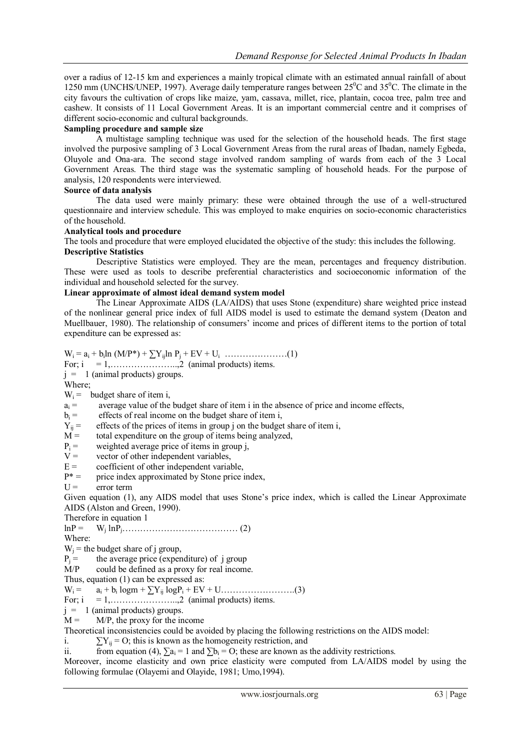over a radius of 12-15 km and experiences a mainly tropical climate with an estimated annual rainfall of about 1250 mm (UNCHS/UNEP, 1997). Average daily temperature ranges between  $25^{\circ}$ C and  $35^{\circ}$ C. The climate in the city favours the cultivation of crops like maize, yam, cassava, millet, rice, plantain, cocoa tree, palm tree and cashew. It consists of 11 Local Government Areas. It is an important commercial centre and it comprises of different socio-economic and cultural backgrounds.

# **Sampling procedure and sample size**

A multistage sampling technique was used for the selection of the household heads. The first stage involved the purposive sampling of 3 Local Government Areas from the rural areas of Ibadan, namely Egbeda, Oluyole and Ona-ara. The second stage involved random sampling of wards from each of the 3 Local Government Areas. The third stage was the systematic sampling of household heads. For the purpose of analysis, 120 respondents were interviewed.

# **Source of data analysis**

The data used were mainly primary: these were obtained through the use of a well-structured questionnaire and interview schedule. This was employed to make enquiries on socio-economic characteristics of the household.

## **Analytical tools and procedure**

The tools and procedure that were employed elucidated the objective of the study: this includes the following. **Descriptive Statistics**

Descriptive Statistics were employed. They are the mean, percentages and frequency distribution. These were used as tools to describe preferential characteristics and socioeconomic information of the individual and household selected for the survey.

# **Linear approximate of almost ideal demand system model**

The Linear Approximate AIDS (LA/AIDS) that uses Stone (expenditure) share weighted price instead of the nonlinear general price index of full AIDS model is used to estimate the demand system (Deaton and Muellbauer, 1980). The relationship of consumers' income and prices of different items to the portion of total expenditure can be expressed as:

W<sup>i</sup> = a<sup>i</sup> + b<sup>i</sup> ln (M/P\*) + ∑Yijln P<sup>j</sup> + EV + U<sup>i</sup> …………………(1) For;  $i = 1, \ldots, \ldots, 2$  (animal products) items.  $j = 1$  (animal products) groups. Where;  $W_i$  = budget share of item i,  $a_i =$  average value of the budget share of item i in the absence of price and income effects,

 $b_i$  = effects of real income on the budget share of item i,<br>  $Y_{ii}$  = effects of the prices of items in group j on the budget

 $Y_{ij}$  = effects of the prices of items in group j on the budget share of item i,  $M =$  total expenditure on the group of items being analyzed.

total expenditure on the group of items being analyzed,

 $P_i$  = weighted average price of items in group j,<br>  $V =$  vector of other independent variables

vector of other independent variables,

 $E =$  coefficient of other independent variable,<br> $P^* =$  orice index approximated by Stone price

- price index approximated by Stone price index,
- $U =$  error term

Given equation (1), any AIDS model that uses Stone's price index, which is called the Linear Approximate AIDS (Alston and Green, 1990).

Therefore in equation 1

 $lnP =$ lnPj………………………………… (2)

Where:

 $W_i$  = the budget share of j group,

 $P_j$  = the average price (expenditure) of j group<br>M/P could be defined as a proxy for real income

could be defined as a proxy for real income.

Thus, equation (1) can be expressed as:

W<sup>i</sup> = a<sup>i</sup> + b<sup>i</sup> logm + ∑Yij logP<sup>i</sup> + EV + U…………………….(3)

For;  $i = 1, \ldots, \ldots, 2$  (animal products) items.

 $j = 1$  (animal products) groups.

 $M = M/P$ , the proxy for the income

Theoretical inconsistencies could be avoided by placing the following restrictions on the AIDS model:

i.  $\sum Y_{ii} = O$ ; this is known as the homogeneity restriction, and

ii. from equation (4),  $\sum a_i = 1$  and  $\sum b_i = O$ ; these are known as the addivity restrictions.

Moreover, income elasticity and own price elasticity were computed from LA/AIDS model by using the following formulae (Olayemi and Olayide, 1981; Umo,1994).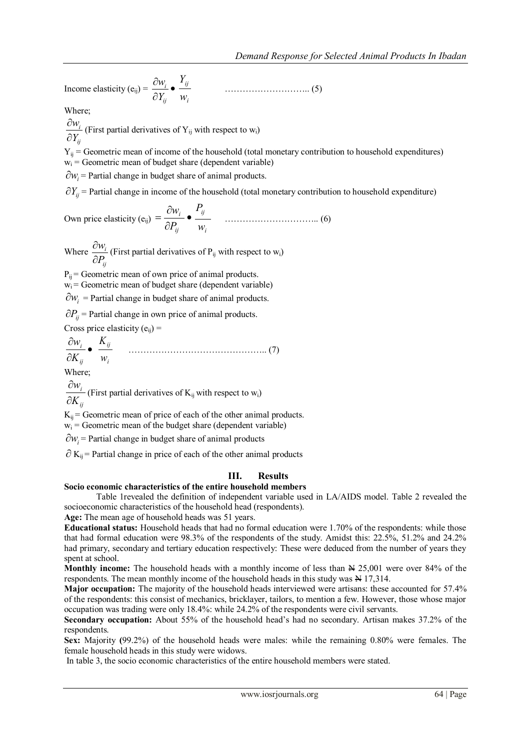Income elasticity (e<sub>ij</sub>) =  $\frac{W_i}{2M}$  •  $\partial$  $\partial$ *ij i Y w i ij w Y* ……………………….. (5)

Where;

*ij i Y w*  $\partial$  $\frac{\partial w_i}{\partial x}$  (First partial derivatives of Y<sub>ij</sub> with respect to w<sub>i</sub>)

 $Y_{ij}$  = Geometric mean of income of the household (total monetary contribution to household expenditures)  $w_i$  = Geometric mean of budget share (dependent variable)

 $\partial w_i$  = Partial change in budget share of animal products.

 $\partial Y_{ij}$  = Partial change in income of the household (total monetary contribution to household expenditure)

Own price elasticity (e<sub>ij</sub>) = 
$$
\frac{\partial w_i}{\partial P_{ij}} \bullet \frac{P_{ij}}{w_i}
$$
 ....... (6)

Where *ij i P w*  $\partial$  $\frac{\partial w_i}{\partial n}$  (First partial derivatives of P<sub>ij</sub> with respect to w<sub>i</sub>)

 $P_{ii}$  = Geometric mean of own price of animal products.

 $w_i$  = Geometric mean of budget share (dependent variable)

 $\partial w_i$  = Partial change in budget share of animal products.

 $\partial P_{ij}$  = Partial change in own price of animal products.

Cross price elasticity  $(e_{ii})$  =

 $\bullet$  $\partial$  $\partial$ *ij i K w i ij w K* ……………………………………….. (7)

Where

*ij i K w*  $\partial$  $\partial$ (First partial derivatives of  $K_{ij}$  with respect to  $w_i$ )

 $K_{ij}$  = Geometric mean of price of each of the other animal products.

 $w_i$  = Geometric mean of the budget share (dependent variable)

 $\partial w_i$  = Partial change in budget share of animal products

 $\partial K_{ij}$  = Partial change in price of each of the other animal products

# **III. Results**

# **Socio economic characteristics of the entire household members**

Table 1revealed the definition of independent variable used in LA/AIDS model. Table 2 revealed the socioeconomic characteristics of the household head (respondents).

**Age:** The mean age of household heads was 51 years.

**Educational status:** Household heads that had no formal education were 1.70% of the respondents: while those that had formal education were 98.3% of the respondents of the study. Amidst this: 22.5%, 51.2% and 24.2% had primary, secondary and tertiary education respectively: These were deduced from the number of years they spent at school.

**Monthly income:** The household heads with a monthly income of less than  $\mathbb{N}$  25,001 were over 84% of the respondents. The mean monthly income of the household heads in this study was  $\frac{N}{N}$  17,314.

**Major occupation:** The majority of the household heads interviewed were artisans: these accounted for 57.4% of the respondents: this consist of mechanics, bricklayer, tailors, to mention a few. However, those whose major occupation was trading were only 18.4%: while 24.2% of the respondents were civil servants.

**Secondary occupation:** About 55% of the household head's had no secondary. Artisan makes 37.2% of the respondents.

**Sex:** Majority **(**99.2%) of the household heads were males: while the remaining 0.80% were females. The female household heads in this study were widows.

In table 3, the socio economic characteristics of the entire household members were stated.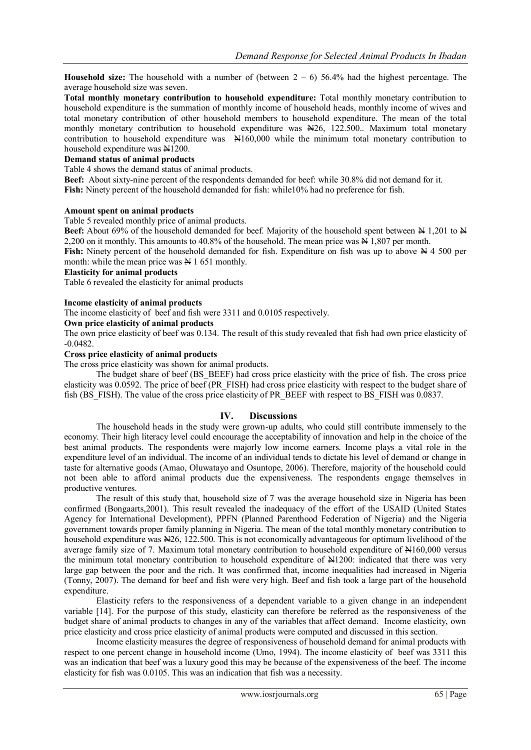**Household size:** The household with a number of (between  $2 - 6$ ) 56.4% had the highest percentage. The average household size was seven.

**Total monthly monetary contribution to household expenditure:** Total monthly monetary contribution to household expenditure is the summation of monthly income of household heads, monthly income of wives and total monetary contribution of other household members to household expenditure. The mean of the total monthly monetary contribution to household expenditure was N26, 122.500. Maximum total monetary contribution to household expenditure was  $\mathbb{H}160,000$  while the minimum total monetary contribution to household expenditure was  $N1200$ .

## **Demand status of animal products**

Table 4 shows the demand status of animal products.

**Beef:** About sixty-nine percent of the respondents demanded for beef: while 30.8% did not demand for it. **Fish:** Ninety percent of the household demanded for fish: while10% had no preference for fish.

#### **Amount spent on animal products**

Table 5 revealed monthly price of animal products.

**Beef:** About 69% of the household demanded for beef. Majority of the household spent between  $\frac{M}{1,201}$  to  $\frac{M}{1,201}$ 2,200 on it monthly. This amounts to 40.8% of the household. The mean price was  $\overline{N}$  1,807 per month.

**Fish:** Ninety percent of the household demanded for fish. Expenditure on fish was up to above  $\cancel{N}$  4 500 per month: while the mean price was  $\cancel{\text{H}}$  1 651 monthly.

#### **Elasticity for animal products**

Table 6 revealed the elasticity for animal products

#### **Income elasticity of animal products**

The income elasticity of beef and fish were 3311 and 0.0105 respectively.

# **Own price elasticity of animal products**

The own price elasticity of beef was 0.134. The result of this study revealed that fish had own price elasticity of -0.0482.

#### **Cross price elasticity of animal products**

The cross price elasticity was shown for animal products.

The budget share of beef (BS\_BEEF) had cross price elasticity with the price of fish. The cross price elasticity was 0.0592. The price of beef (PR\_FISH) had cross price elasticity with respect to the budget share of fish (BS\_FISH). The value of the cross price elasticity of PR\_BEEF with respect to BS\_FISH was 0.0837.

#### **IV. Discussions**

The household heads in the study were grown-up adults, who could still contribute immensely to the economy. Their high literacy level could encourage the acceptability of innovation and help in the choice of the best animal products. The respondents were majorly low income earners. Income plays a vital role in the expenditure level of an individual. The income of an individual tends to dictate his level of demand or change in taste for alternative goods (Amao, Oluwatayo and Osuntope, 2006). Therefore, majority of the household could not been able to afford animal products due the expensiveness. The respondents engage themselves in productive ventures.

The result of this study that, household size of 7 was the average household size in Nigeria has been confirmed (Bongaarts,2001). This result revealed the inadequacy of the effort of the USAID (United States Agency for International Development), PPFN (Planned Parenthood Federation of Nigeria) and the Nigeria government towards proper family planning in Nigeria. The mean of the total monthly monetary contribution to household expenditure was  $\frac{126}{122.500}$ . This is not economically advantageous for optimum livelihood of the average family size of 7. Maximum total monetary contribution to household expenditure of  $\text{H160,000}$  versus the minimum total monetary contribution to household expenditure of  $\frac{1}{2}1200$ : indicated that there was very large gap between the poor and the rich. It was confirmed that, income inequalities had increased in Nigeria (Tonny, 2007). The demand for beef and fish were very high. Beef and fish took a large part of the household expenditure.

Elasticity refers to the responsiveness of a dependent variable to a given change in an independent variable [14]. For the purpose of this study, elasticity can therefore be referred as the responsiveness of the budget share of animal products to changes in any of the variables that affect demand. Income elasticity, own price elasticity and cross price elasticity of animal products were computed and discussed in this section.

Income elasticity measures the degree of responsiveness of household demand for animal products with respect to one percent change in household income (Umo, 1994). The income elasticity of beef was 3311 this was an indication that beef was a luxury good this may be because of the expensiveness of the beef. The income elasticity for fish was 0.0105. This was an indication that fish was a necessity.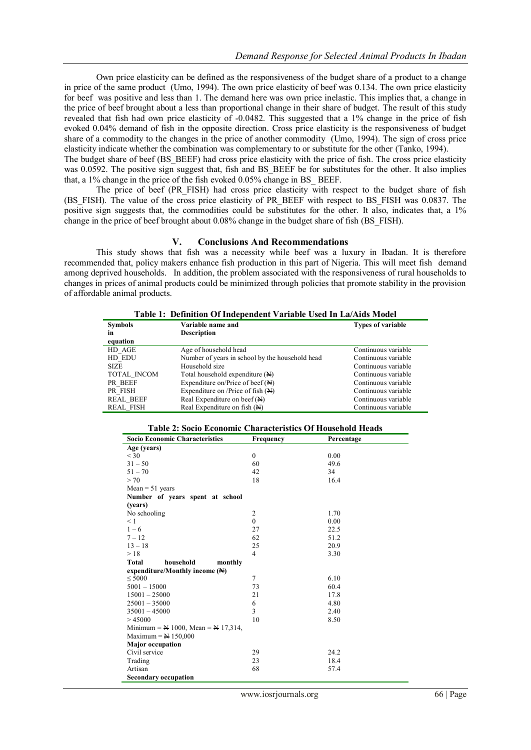Own price elasticity can be defined as the responsiveness of the budget share of a product to a change in price of the same product (Umo, 1994). The own price elasticity of beef was 0.134. The own price elasticity for beef was positive and less than 1. The demand here was own price inelastic. This implies that, a change in the price of beef brought about a less than proportional change in their share of budget. The result of this study revealed that fish had own price elasticity of -0.0482. This suggested that a 1% change in the price of fish evoked 0.04% demand of fish in the opposite direction. Cross price elasticity is the responsiveness of budget share of a commodity to the changes in the price of another commodity (Umo, 1994). The sign of cross price elasticity indicate whether the combination was complementary to or substitute for the other (Tanko, 1994).

The budget share of beef (BS\_BEEF) had cross price elasticity with the price of fish. The cross price elasticity was 0.0592. The positive sign suggest that, fish and BS\_BEEF be for substitutes for the other. It also implies that, a 1% change in the price of the fish evoked 0.05% change in BS\_ BEEF.

The price of beef (PR\_FISH) had cross price elasticity with respect to the budget share of fish (BS\_FISH). The value of the cross price elasticity of PR\_BEEF with respect to BS\_FISH was 0.0837. The positive sign suggests that, the commodities could be substitutes for the other. It also, indicates that, a 1% change in the price of beef brought about 0.08% change in the budget share of fish (BS\_FISH).

#### **V. Conclusions And Recommendations**

This study shows that fish was a necessity while beef was a luxury in Ibadan. It is therefore recommended that, policy makers enhance fish production in this part of Nigeria. This will meet fish demand among deprived households. In addition, the problem associated with the responsiveness of rural households to changes in prices of animal products could be minimized through policies that promote stability in the provision of affordable animal products.

**Table 1: Definition Of Independent Variable Used In La/Aids Model**

| <b>Symbols</b><br>in | Variable name and<br><b>Description</b>         | <b>Types of variable</b> |
|----------------------|-------------------------------------------------|--------------------------|
| equation             |                                                 |                          |
| HD AGE               | Age of household head                           | Continuous variable      |
| HD EDU               | Number of years in school by the household head | Continuous variable      |
| <b>SIZE</b>          | Household size                                  | Continuous variable      |
| TOTAL INCOM          | Total household expenditure (N)                 | Continuous variable      |
| PR BEEF              | Expenditure on/Price of beef $(\mathbb{H})$     | Continuous variable      |
| PR FISH              | Expenditure on /Price of fish (N)               | Continuous variable      |
| <b>REAL BEEF</b>     | Real Expenditure on beef $(\mathbb{H})$         | Continuous variable      |
| <b>REAL FISH</b>     | Real Expenditure on fish (N)                    | Continuous variable      |

| Table 2: Socio Economic Characteristics Of Household Heads |  |
|------------------------------------------------------------|--|
|------------------------------------------------------------|--|

| <b>Socio Economic Characteristics</b>                                  | Frequency      | Percentage |
|------------------------------------------------------------------------|----------------|------------|
| Age (years)                                                            |                |            |
| $<$ 30                                                                 | $\mathbf{0}$   | 0.00       |
| $31 - 50$                                                              | 60             | 49.6       |
| $51 - 70$                                                              | 42             | 34         |
| > 70                                                                   | 18             | 16.4       |
| $Mean = 51$ years                                                      |                |            |
| Number of years spent at school                                        |                |            |
| (years)                                                                |                |            |
| No schooling                                                           | $\overline{2}$ | 1.70       |
| $\leq 1$                                                               | $\theta$       | 0.00       |
| $1 - 6$                                                                | 27             | 22.5       |
| $7 - 12$                                                               | 62             | 51.2       |
| $13 - 18$                                                              | 25             | 20.9       |
| >18                                                                    | $\overline{4}$ | 3.30       |
| <b>Total</b><br>household<br>monthly                                   |                |            |
| expenditure/Monthly income $(\mathbb{N})$                              |                |            |
| < 5000                                                                 | $\overline{7}$ | 6.10       |
| $5001 - 15000$                                                         | 73             | 60.4       |
| $15001 - 25000$                                                        | 21             | 17.8       |
| $25001 - 35000$                                                        | 6              | 4.80       |
| $35001 - 45000$                                                        | 3              | 2.40       |
| >45000                                                                 | 10             | 8.50       |
| Minimum = $\cancel{\text{N}}$ 1000, Mean = $\cancel{\text{N}}$ 17,314, |                |            |
| Maximum = $N$ 150,000                                                  |                |            |
| <b>Major</b> occupation                                                |                |            |
| Civil service                                                          | 29             | 24.2       |
| Trading                                                                | 23             | 18.4       |
| Artisan                                                                | 68             | 57.4       |
| <b>Secondary occupation</b>                                            |                |            |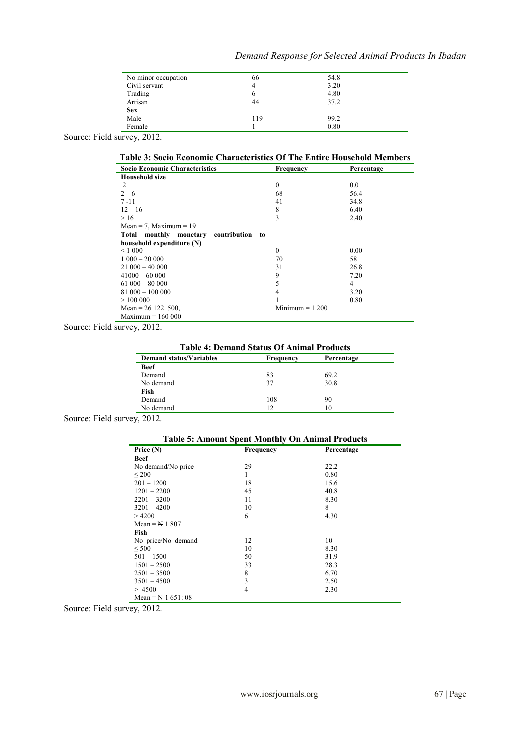| Demand Response for Selected Animal Products In Ibadan |  |  |  |  |  |  |
|--------------------------------------------------------|--|--|--|--|--|--|
|--------------------------------------------------------|--|--|--|--|--|--|

| No minor occupation                  | 66  | 54.8 |
|--------------------------------------|-----|------|
| Civil servant                        | 4   | 3.20 |
| Trading                              | o   | 4.80 |
| Artisan                              | 44  | 37.2 |
| <b>Sex</b>                           |     |      |
| Male                                 | 119 | 99.2 |
| Female                               |     | 0.80 |
| $\mathbf{A} \mathbf{A} + \mathbf{A}$ |     |      |

Source: Field survey, 2012.

# **Table 3: Socio Economic Characteristics Of The Entire Household Members**

| <b>Socio Economic Characteristics</b>        | Frequency        | Percentage |
|----------------------------------------------|------------------|------------|
| <b>Household size</b>                        |                  |            |
| 2                                            | $\mathbf{0}$     | 0.0        |
| $2 - 6$                                      | 68               | 56.4       |
| $7 - 11$                                     | 41               | 34.8       |
| $12 - 16$                                    | 8                | 6.40       |
| >16                                          | 3                | 2.40       |
| Mean = 7, Maximum = $19$                     |                  |            |
| contribution<br>Total monthly monetary<br>to |                  |            |
| household expenditure $(N)$                  |                  |            |
| $\leq 1000$                                  | $\mathbf{0}$     | 0.00       |
| $1000 - 2000$                                | 70               | 58         |
| $21000 - 40000$                              | 31               | 26.8       |
| $41000 - 60000$                              | 9                | 7.20       |
| $61000 - 80000$                              | 5                | 4          |
| $81000 - 10000$                              | 4                | 3.20       |
| >100000                                      |                  | 0.80       |
| Mean = $26$ 122. 500,                        | $Minimum = 1200$ |            |
| $Maximum = 160000$                           |                  |            |

Source: Field survey, 2012.

**Table 4: Demand Status Of Animal Products**

| <b>Demand status/Variables</b> | Frequency | Percentage |
|--------------------------------|-----------|------------|
| <b>Beef</b>                    |           |            |
| Demand                         | 83        | 69.2       |
| No demand                      | 37        | 30.8       |
| Fish                           |           |            |
| Demand                         | 108       | 90         |
| No demand                      | 12        | 10         |

Source: Field survey, 2012.

| Price $(N)$                      | Frequency | Percentage |
|----------------------------------|-----------|------------|
| <b>Beef</b>                      |           |            |
| No demand/No price               | 29        | 22.2       |
| $\leq 200$                       | 1         | 0.80       |
| $201 - 1200$                     | 18        | 15.6       |
| $1201 - 2200$                    | 45        | 40.8       |
| $2201 - 3200$                    | 11        | 8.30       |
| $3201 - 4200$                    | 10        | 8          |
| >4200                            | 6         | 4.30       |
| Mean = $\cancel{\text{N}}$ 1 807 |           |            |
| Fish                             |           |            |
| No price/No demand               | 12        | 10         |
| ${}_{500}$                       | 10        | 8.30       |
| $501 - 1500$                     | 50        | 31.9       |
| $1501 - 2500$                    | 33        | 28.3       |
| $2501 - 3500$                    | 8         | 6.70       |
| $3501 - 4500$                    | 3         | 2.50       |
| > 4500                           | 4         | 2.30       |
| Mean = $\cancel{+}$ 1 651:08     |           |            |

Source: Field survey, 2012.